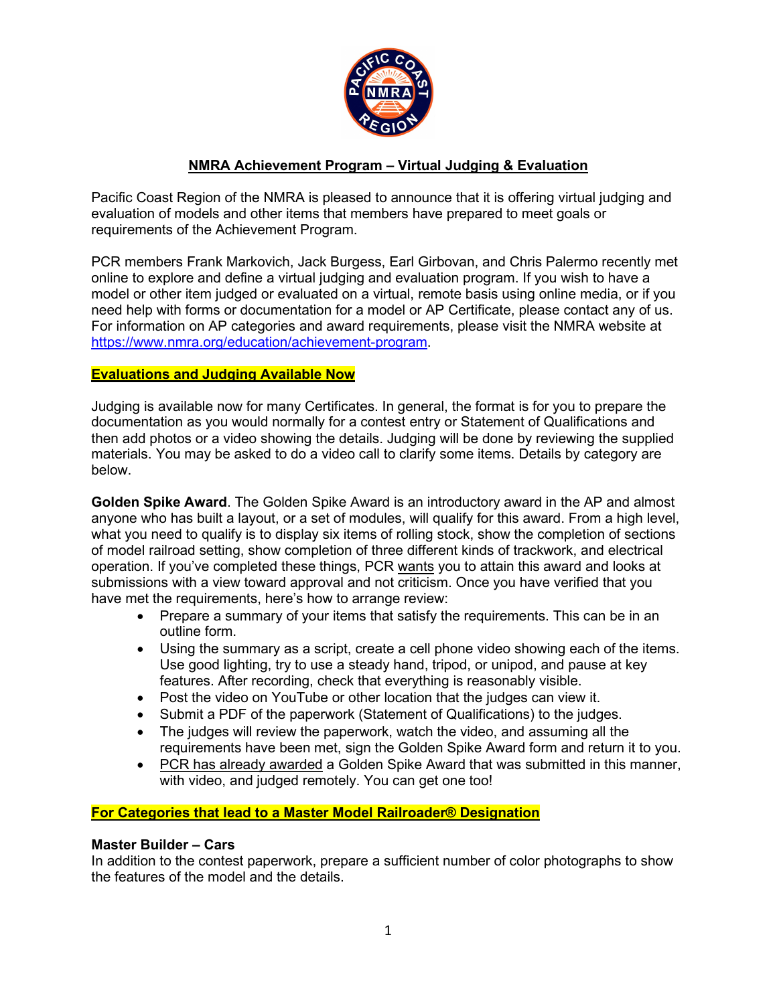

# **NMRA Achievement Program – Virtual Judging & Evaluation**

Pacific Coast Region of the NMRA is pleased to announce that it is offering virtual judging and evaluation of models and other items that members have prepared to meet goals or requirements of the Achievement Program.

PCR members Frank Markovich, Jack Burgess, Earl Girbovan, and Chris Palermo recently met online to explore and define a virtual judging and evaluation program. If you wish to have a model or other item judged or evaluated on a virtual, remote basis using online media, or if you need help with forms or documentation for a model or AP Certificate, please contact any of us. For information on AP categories and award requirements, please visit the NMRA website at [https://www.nmra.org/education/achievement-program.](https://www.nmra.org/education/achievement-program)

### **Evaluations and Judging Available Now**

Judging is available now for many Certificates. In general, the format is for you to prepare the documentation as you would normally for a contest entry or Statement of Qualifications and then add photos or a video showing the details. Judging will be done by reviewing the supplied materials. You may be asked to do a video call to clarify some items. Details by category are below.

**Golden Spike Award**. The Golden Spike Award is an introductory award in the AP and almost anyone who has built a layout, or a set of modules, will qualify for this award. From a high level, what you need to qualify is to display six items of rolling stock, show the completion of sections of model railroad setting, show completion of three different kinds of trackwork, and electrical operation. If you've completed these things, PCR wants you to attain this award and looks at submissions with a view toward approval and not criticism. Once you have verified that you have met the requirements, here's how to arrange review:

- Prepare a summary of your items that satisfy the requirements. This can be in an outline form.
- Using the summary as a script, create a cell phone video showing each of the items. Use good lighting, try to use a steady hand, tripod, or unipod, and pause at key features. After recording, check that everything is reasonably visible.
- Post the video on YouTube or other location that the judges can view it.
- Submit a PDF of the paperwork (Statement of Qualifications) to the judges.
- The judges will review the paperwork, watch the video, and assuming all the requirements have been met, sign the Golden Spike Award form and return it to you.
- PCR has already awarded a Golden Spike Award that was submitted in this manner, with video, and judged remotely. You can get one too!

### **For Categories that lead to a Master Model Railroader® Designation**

### **[Master Builder –](https://www.nmra.org/motive-power) Cars**

In addition to the contest paperwork, prepare a sufficient number of color photographs to show the features of the model and the details.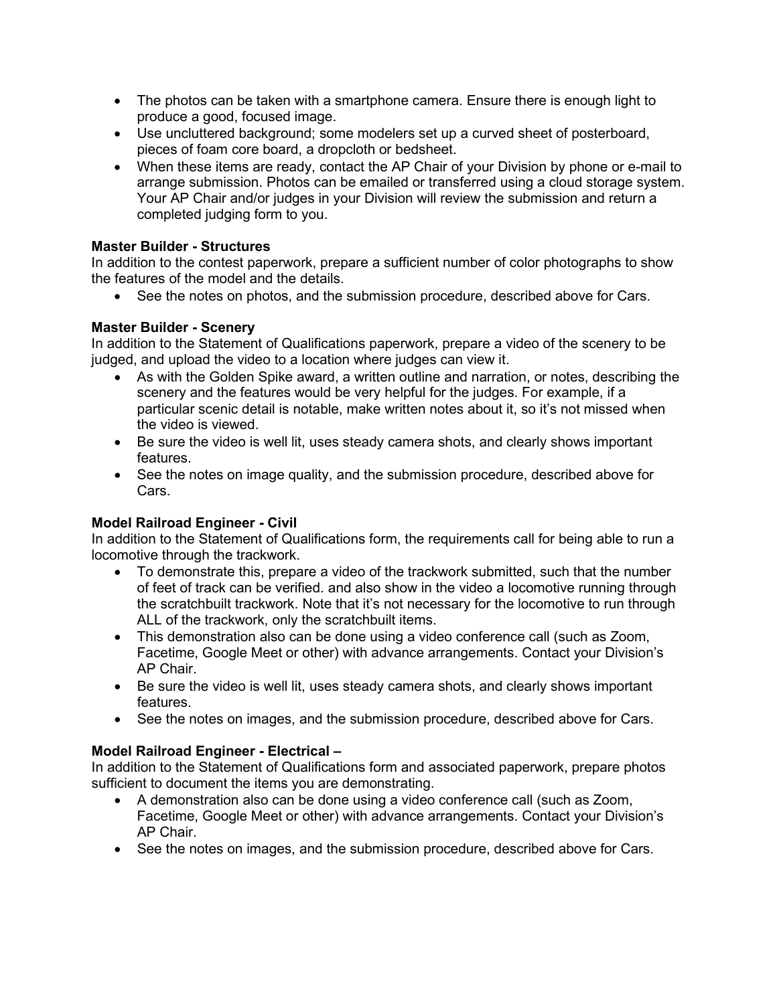- The photos can be taken with a smartphone camera. Ensure there is enough light to produce a good, focused image.
- Use uncluttered background; some modelers set up a curved sheet of posterboard, pieces of foam core board, a dropcloth or bedsheet.
- When these items are ready, contact the AP Chair of your Division by phone or e-mail to arrange submission. Photos can be emailed or transferred using a cloud storage system. Your AP Chair and/or judges in your Division will review the submission and return a completed judging form to you.

### **[Master Builder -](https://www.nmra.org/structures) Structures**

In addition to the contest paperwork, prepare a sufficient number of color photographs to show the features of the model and the details.

• See the notes on photos, and the submission procedure, described above for Cars.

## **[Master Builder -](https://www.nmra.org/scenery) Scenery**

In addition to the Statement of Qualifications paperwork, prepare a video of the scenery to be judged, and upload the video to a location where judges can view it.

- As with the Golden Spike award, a written outline and narration, or notes, describing the scenery and the features would be very helpful for the judges. For example, if a particular scenic detail is notable, make written notes about it, so it's not missed when the video is viewed.
- Be sure the video is well lit, uses steady camera shots, and clearly shows important features.
- See the notes on image quality, and the submission procedure, described above for Cars.

### **[Model Railroad Engineer -](https://www.nmra.org/civil) Civil**

In addition to the Statement of Qualifications form, the requirements call for being able to run a locomotive through the trackwork.

- To demonstrate this, prepare a video of the trackwork submitted, such that the number of feet of track can be verified. and also show in the video a locomotive running through the scratchbuilt trackwork. Note that it's not necessary for the locomotive to run through ALL of the trackwork, only the scratchbuilt items.
- This demonstration also can be done using a video conference call (such as Zoom, Facetime, Google Meet or other) with advance arrangements. Contact your Division's AP Chair.
- Be sure the video is well lit, uses steady camera shots, and clearly shows important features.
- See the notes on images, and the submission procedure, described above for Cars.

# **[Model Railroad Engineer -](https://www.nmra.org/electrical) Electrical –**

In addition to the Statement of Qualifications form and associated paperwork, prepare photos sufficient to document the items you are demonstrating.

- A demonstration also can be done using a video conference call (such as Zoom, Facetime, Google Meet or other) with advance arrangements. Contact your Division's AP Chair.
- See the notes on images, and the submission procedure, described above for Cars.